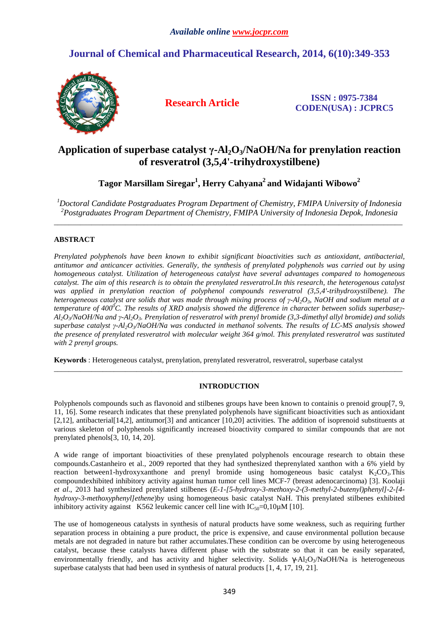# **Journal of Chemical and Pharmaceutical Research, 2014, 6(10):349-353**



**Research Article ISSN : 0975-7384 CODEN(USA) : JCPRC5**

# **Application of superbase catalyst γ-Al2O3/NaOH/Na for prenylation reaction of resveratrol (3,5,4'-trihydroxystilbene)**

**Tagor Marsillam Siregar<sup>1</sup> , Herry Cahyana<sup>2</sup>and Widajanti Wibowo<sup>2</sup>**

*<sup>1</sup>Doctoral Candidate Postgraduates Program Department of Chemistry, FMIPA University of Indonesia <sup>2</sup>Postgraduates Program Department of Chemistry, FMIPA University of Indonesia Depok, Indonesia*   $\overline{a}$  , and the contribution of the contribution of the contribution of the contribution of the contribution of the contribution of the contribution of the contribution of the contribution of the contribution of the co

# **ABSTRACT**

*Prenylated polyphenols have been known to exhibit significant bioactivities such as antioxidant, antibacterial, antitumor and anticancer activities. Generally, the synthesis of prenylated polyphenols was carried out by using homogeneous catalyst. Utilization of heterogeneous catalyst have several advantages compared to homogeneous catalyst. The aim of this research is to obtain the prenylated resveratrol.In this research, the heterogenous catalyst was applied in prenylation reaction of polyphenol compounds resveratrol (3,5,4'-trihydroxystilbene). The heterogeneous catalyst are solids that was made through mixing process of γ-Al2O3, NaOH and sodium metal at a temperature of 400<sup>0</sup>C. The results of XRD analysis showed the difference in character between solids superbaseγ-Al2O3/NaOH/Na and γ-Al2O3. Prenylation of resveratrol with prenyl bromide (3,3-dimethyl allyl bromide) and solids superbase catalyst γ-Al2O3/NaOH/Na was conducted in methanol solvents. The results of LC-MS analysis showed the presence of prenylated resveratrol with molecular weight 364 g/mol. This prenylated resveratrol was sustituted with 2 prenyl groups.* 

**Keywords** : Heterogeneous catalyst, prenylation, prenylated resveratrol, resveratrol, superbase catalyst

## **INTRODUCTION**

\_\_\_\_\_\_\_\_\_\_\_\_\_\_\_\_\_\_\_\_\_\_\_\_\_\_\_\_\_\_\_\_\_\_\_\_\_\_\_\_\_\_\_\_\_\_\_\_\_\_\_\_\_\_\_\_\_\_\_\_\_\_\_\_\_\_\_\_\_\_\_\_\_\_\_\_\_\_\_\_\_\_\_\_\_\_\_\_\_\_\_\_\_

Polyphenols compounds such as flavonoid and stilbenes groups have been known to containis o prenoid group[7, 9, 11, 16]. Some research indicates that these prenylated polyphenols have significant bioactivities such as antioxidant [2,12], antibacterial[14,2], antitumor[3] and anticancer [10,20] activities. The addition of isoprenoid substituents at various skeleton of polyphenols significantly increased bioactivity compared to similar compounds that are not prenylated phenols[3, 10, 14, 20].

A wide range of important bioactivities of these prenylated polyphenols encourage research to obtain these compounds.Castanheiro et al., 2009 reported that they had synthesized theprenylated xanthon with a 6% yield by reaction between1-hydroxyxanthone and prenyl bromide using homogeneous basic catalyst  $K_2CO_3$ . This compoundexhibited inhibitory activity against human tumor cell lines MCF-7 (breast adenocarcinoma) [3]. Koolaji *et al*., 2013 had synthesized prenylated stilbenes (*E-1-[5-hydroxy-3-methoxy-2-(3-methyl-2-butenyl)phenyl]-2-[4 hydroxy-3-methoxyphenyl]ethene*)by using homogeneous basic catalyst NaH. This prenylated stilbenes exhibited inhibitory activity against K562 leukemic cancer cell line with  $IC_{50}=0.10 \mu M$  [10].

The use of homogeneous catalysts in synthesis of natural products have some weakness, such as requiring further separation process in obtaining a pure product, the price is expensive, and cause environmental pollution because metals are not degraded in nature but rather accumulates.These condition can be overcome by using heterogeneous catalyst, because these catalysts havea different phase with the substrate so that it can be easily separated, environmentally friendly, and has activity and higher selectivity. Solids  $\gamma$ -Al<sub>2</sub>O<sub>3</sub>/NaOH/Na is heterogeneous superbase catalysts that had been used in synthesis of natural products [1, 4, 17, 19, 21].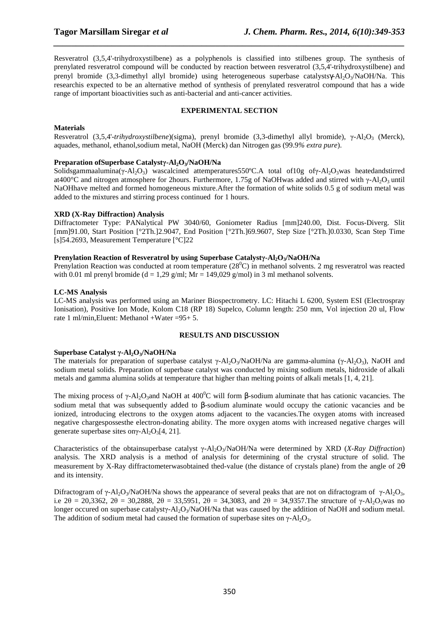Resveratrol (3,5,4'-trihydroxystilbene) as a polyphenols is classified into stilbenes group. The synthesis of prenylated resveratrol compound will be conducted by reaction between resveratrol (3,5,4'-trihydroxystilbene) and prenyl bromide (3,3-dimethyl allyl bromide) using heterogeneous superbase catalystsγ-Al<sub>2</sub>O<sub>3</sub>/NaOH/Na. This researchis expected to be an alternative method of synthesis of prenylated resveratrol compound that has a wide range of important bioactivities such as anti-bacterial and anti-cancer activities.

*\_\_\_\_\_\_\_\_\_\_\_\_\_\_\_\_\_\_\_\_\_\_\_\_\_\_\_\_\_\_\_\_\_\_\_\_\_\_\_\_\_\_\_\_\_\_\_\_\_\_\_\_\_\_\_\_\_\_\_\_\_\_\_\_\_\_\_\_\_\_\_\_\_\_\_\_\_\_*

### **EXPERIMENTAL SECTION**

### **Materials**

Resveratrol (3,5,4'*-trihydroxystilbene*)(sigma), prenyl bromide (3,3-dimethyl allyl bromide), γ-Al<sub>2</sub>O<sub>3</sub> (Merck), aquades, methanol, ethanol,sodium metal, NaOH (Merck) dan Nitrogen gas (99.9*% extra pure*).

### **Preparation ofSuperbase Catalystγ-Al2O3/NaOH/Na**

Solidsgammaalumina(γ-Al<sub>2</sub>O<sub>3</sub>) wascalcined attemperatures550°C.A total of10g ofγ-Al<sub>2</sub>O<sub>3</sub>was heatedandstirred at400°C and nitrogen atmosphere for 2hours. Furthermore, 1.75g of NaOHwas added and stirred with γ-Al<sub>2</sub>O<sub>3</sub> until NaOHhave melted and formed homogeneous mixture.After the formation of white solids 0.5 g of sodium metal was added to the mixtures and stirring process continued for 1 hours.

### **XRD (X-Ray Diffraction) Analysis**

Diffractometer Type: PANalytical PW 3040/60, Goniometer Radius [mm]240.00, Dist. Focus-Diverg. Slit [mm]91.00, Start Position [°2Th.]2.9047, End Position [°2Th.]69.9607, Step Size [°2Th.]0.0330, Scan Step Time [s]54.2693, Measurement Temperature [°C]22

## **Prenylation Reaction of Resveratrol by using Superbase Catalystγ-Al2O3/NaOH/Na**

Prenylation Reaction was conducted at room temperature  $(28^{\circ}C)$  in methanol solvents. 2 mg resveratrol was reacted with 0.01 ml prenyl bromide (d = 1,29 g/ml; Mr = 149,029 g/mol) in 3 ml methanol solvents.

#### **LC-MS Analysis**

LC-MS analysis was performed using an Mariner Biospectrometry. LC: Hitachi L 6200, System ESI (Electrospray Ionisation), Positive Ion Mode, Kolom C18 (RP 18) Supelco, Column length: 250 mm, Vol injection 20 ul, Flow rate 1 ml/min, Eluent: Methanol + Water =  $95+5$ .

#### **RESULTS AND DISCUSSION**

## **Superbase Catalyst γ-Al2O3/NaOH/Na**

The materials for preparation of superbase catalyst γ-Al<sub>2</sub>O<sub>3</sub>/NaOH/Na are gamma-alumina (γ-Al<sub>2</sub>O<sub>3</sub>), NaOH and sodium metal solids. Preparation of superbase catalyst was conducted by mixing sodium metals, hidroxide of alkali metals and gamma alumina solids at temperature that higher than melting points of alkali metals [1, 4, 21].

The mixing process of  $\gamma$ -Al<sub>2</sub>O<sub>3</sub>and NaOH at 400<sup>o</sup>C will form β-sodium aluminate that has cationic vacancies. The sodium metal that was subsequently added to β-sodium aluminate would occupy the cationic vacancies and be ionized, introducing electrons to the oxygen atoms adjacent to the vacancies.The oxygen atoms with increased negative chargespossesthe electron-donating ability. The more oxygen atoms with increased negative charges will generate superbase sites onγ- $Al_2O_3[4, 21]$ .

Characteristics of the obtainsuperbase catalyst γ-Al2O3/NaOH/Na were determined by XRD (*X-Ray Diffraction*) analysis. The XRD analysis is a method of analysis for determining of the crystal structure of solid. The measurement by X-Ray diffractometerwasobtained thed-value (the distance of crystals plane) from the angle of 2θ and its intensity.

Difractogram of  $\gamma$ -Al<sub>2</sub>O<sub>3</sub>/NaOH/Na shows the appearance of several peaks that are not on difractogram of  $\gamma$ -Al<sub>2</sub>O<sub>3</sub>, i.e  $2\theta = 20,3362, 2\theta = 30,2888, 2\theta = 33,5951, 2\theta = 34,3083$ , and  $2\theta = 34,9357$ . The structure of γ-Al<sub>2</sub>O<sub>3</sub>was no longer occured on superbase catalysty-Al<sub>2</sub>O<sub>3</sub>/NaOH/Na that was caused by the addition of NaOH and sodium metal. The addition of sodium metal had caused the formation of superbase sites on  $\gamma$ -Al<sub>2</sub>O<sub>3</sub>.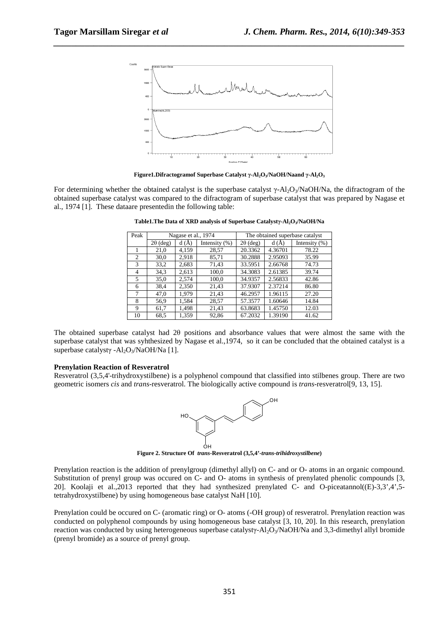

*\_\_\_\_\_\_\_\_\_\_\_\_\_\_\_\_\_\_\_\_\_\_\_\_\_\_\_\_\_\_\_\_\_\_\_\_\_\_\_\_\_\_\_\_\_\_\_\_\_\_\_\_\_\_\_\_\_\_\_\_\_\_\_\_\_\_\_\_\_\_\_\_\_\_\_\_\_\_*

**Figure1.Difractogramof Superbase Catalyst γ-Al2O3/NaOH/Naand γ-Al2O<sup>3</sup>**

For determining whether the obtained catalyst is the superbase catalyst  $\gamma$ -Al<sub>2</sub>O<sub>3</sub>/NaOH/Na, the difractogram of the obtained superbase catalyst was compared to the difractogram of superbase catalyst that was prepared by Nagase et al., 1974 [1]. These dataare presentedin the following table:

| Peak           | Nagase et al., 1974 |       |                  | The obtained superbase catalyst |         |                  |
|----------------|---------------------|-------|------------------|---------------------------------|---------|------------------|
|                | $2\theta$ (deg)     | d(A)  | Intensity $(\%)$ | $2\theta$ (deg)                 | d(A)    | Intensity $(\%)$ |
|                | 21,0                | 4,159 | 28,57            | 20.3362                         | 4.36701 | 78.22            |
| $\overline{c}$ | 30,0                | 2.918 | 85,71            | 30.2888                         | 2.95093 | 35.99            |
| 3              | 33,2                | 2,683 | 71,43            | 33.5951                         | 2.66768 | 74.73            |
| $\overline{4}$ | 34.3                | 2,613 | 100,0            | 34.3083                         | 2.61385 | 39.74            |
| 5              | 35,0                | 2,574 | 100,0            | 34.9357                         | 2.56833 | 42.86            |
| 6              | 38,4                | 2,350 | 21,43            | 37.9307                         | 2.37214 | 86.80            |
| 7              | 47,0                | 1.979 | 21,43            | 46.2957                         | 1.96115 | 27.20            |
| 8              | 56.9                | 1,584 | 28,57            | 57.3577                         | 1.60646 | 14.84            |
| 9              | 61,7                | 1,498 | 21,43            | 63.8683                         | 1.45750 | 12.03            |
| 10             | 68.5                | 1,359 | 92,86            | 67.2032                         | 1.39190 | 41.62            |

**Table1.The Data of XRD analysis of Superbase Catalystγ-Al2O3/NaOH/Na** 

The obtained superbase catalyst had 2θ positions and absorbance values that were almost the same with the superbase catalyst that was syhthesized by Nagase et al.,1974, so it can be concluded that the obtained catalyst is a superbase catalystγ -Al<sub>2</sub>O<sub>3</sub>/NaOH/Na [1].

#### **Prenylation Reaction of Resveratrol**

Resveratrol (3,5,4'-trihydroxystilbene) is a polyphenol compound that classified into stilbenes group. There are two geometric isomers *cis* and *trans*-resveratrol. The biologically active compound is *trans*-resveratrol[9, 13, 15].



**Figure 2. Structure Of** *trans***-Resveratrol (3,5,4'-***trans-trihidroxystilbene***)** 

Prenylation reaction is the addition of prenylgroup (dimethyl allyl) on C- and or O- atoms in an organic compound. Substitution of prenyl group was occured on C- and O- atoms in synthesis of prenylated phenolic compounds [3, 20]. Koolaji et al.,2013 reported that they had synthesized prenylated C- and O-piceatannol((E)-3,3',4',5 tetrahydroxystilbene) by using homogeneous base catalyst NaH [10].

Prenylation could be occured on C- (aromatic ring) or O- atoms (-OH group) of resveratrol. Prenylation reaction was conducted on polyphenol compounds by using homogeneous base catalyst [3, 10, 20]. In this research, prenylation reaction was conducted by using heterogeneous superbase catalysty-Al<sub>2</sub>O<sub>3</sub>/NaOH/Na and 3,3-dimethyl allyl bromide (prenyl bromide) as a source of prenyl group.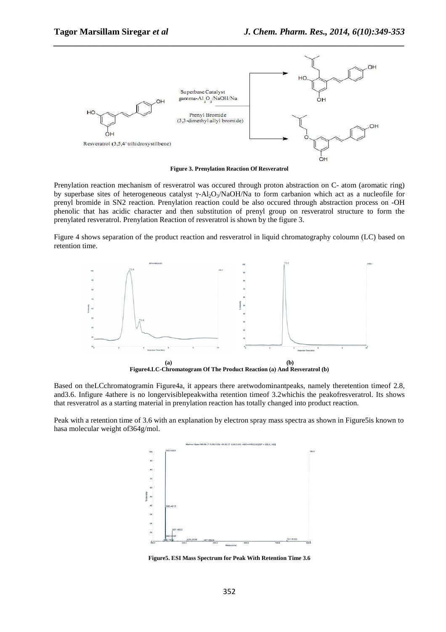

**Figure 3. Prenylation Reaction Of Resveratrol** 

Prenylation reaction mechanism of resveratrol was occured through proton abstraction on C- atom (aromatic ring) by superbase sites of heterogeneous catalyst  $\gamma$ -Al<sub>2</sub>O<sub>3</sub>/NaOH/Na to form carbanion which act as a nucleofile for prenyl bromide in SN2 reaction. Prenylation reaction could be also occured through abstraction process on -OH phenolic that has acidic character and then substitution of prenyl group on resveratrol structure to form the prenylated resveratrol. Prenylation Reaction of resveratrol is shown by the figure 3.

Figure 4 shows separation of the product reaction and resveratrol in liquid chromatography coloumn (LC) based on retention time.



Based on theLCchromatogramin Figure4a, it appears there aretwodominantpeaks, namely theretention timeof 2.8, and3.6. Infigure 4athere is no longervisiblepeakwitha retention timeof 3.2whichis the peakofresveratrol. Its shows

that resveratrol as a starting material in prenylation reaction has totally changed into product reaction.

Peak with a retention time of 3.6 with an explanation by electron spray mass spectra as shown in Figure5is known to hasa molecular weight of364g/mol.



**Figure5. ESI Mass Spectrum for Peak With Retention Time 3.6**